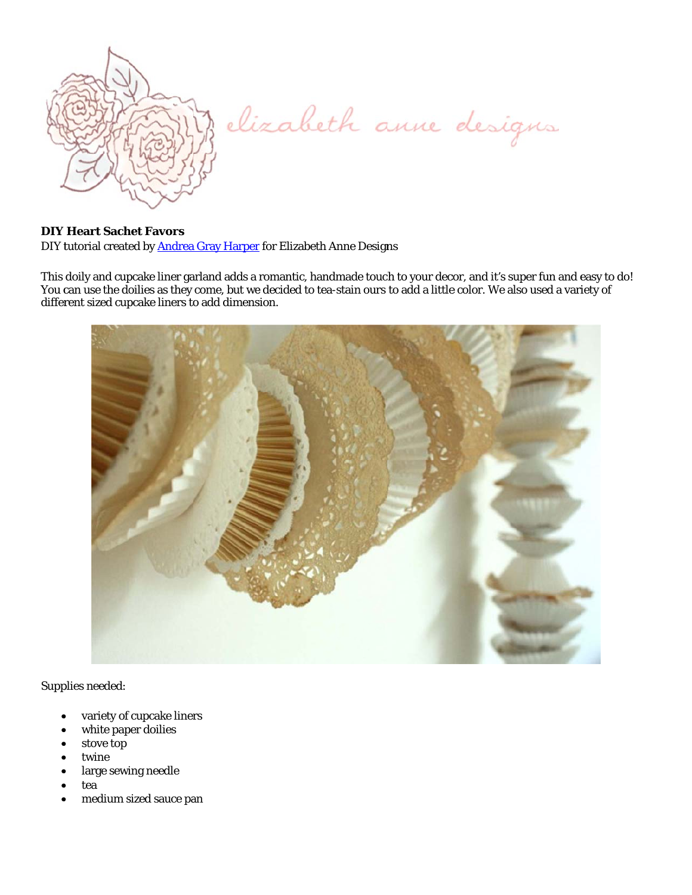

elizabeth anne designs

## **DIY Heart Sachet Favors**

DIY tutorial created by Andrea Gray Harper for Elizabeth Anne Designs

This doily and cupcake liner garland adds a romantic, handmade touch to your decor, and it's super fun and easy to do! You can use the doilies as they come, but we decided to tea-stain ours to add a little color. We also used a variety of different sized cupcake liners to add dimension.



Supplies needed:

- variety of cupcake liners
- white paper doilies
- stove top
- twine
- large sewing needle
- tea
- medium sized sauce pan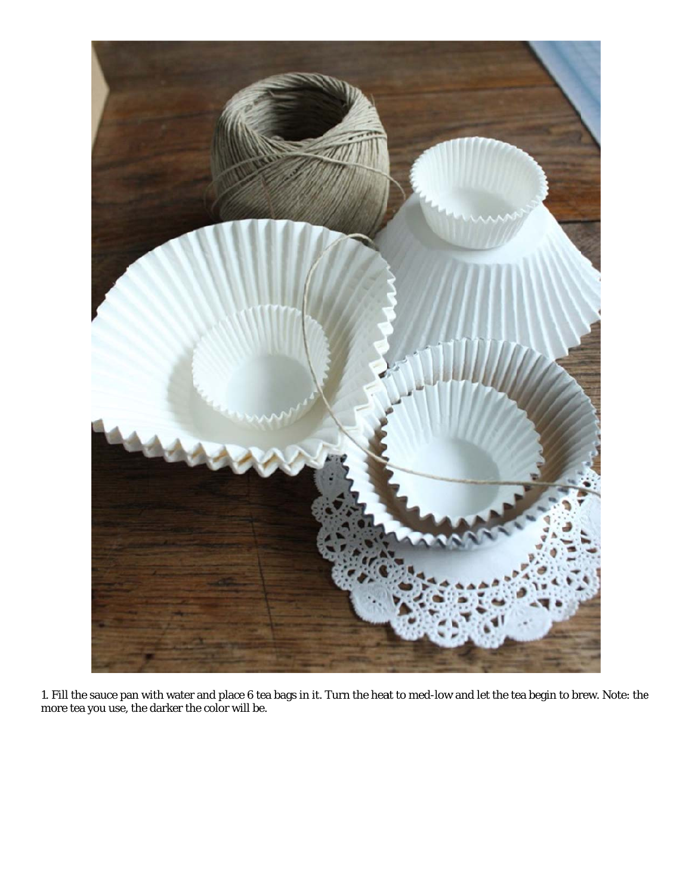

1. Fill the sauce pan with water and place 6 tea bags in it. Turn the heat to med-low and let the tea begin to brew. Note: the more tea you use, the darker the color will be.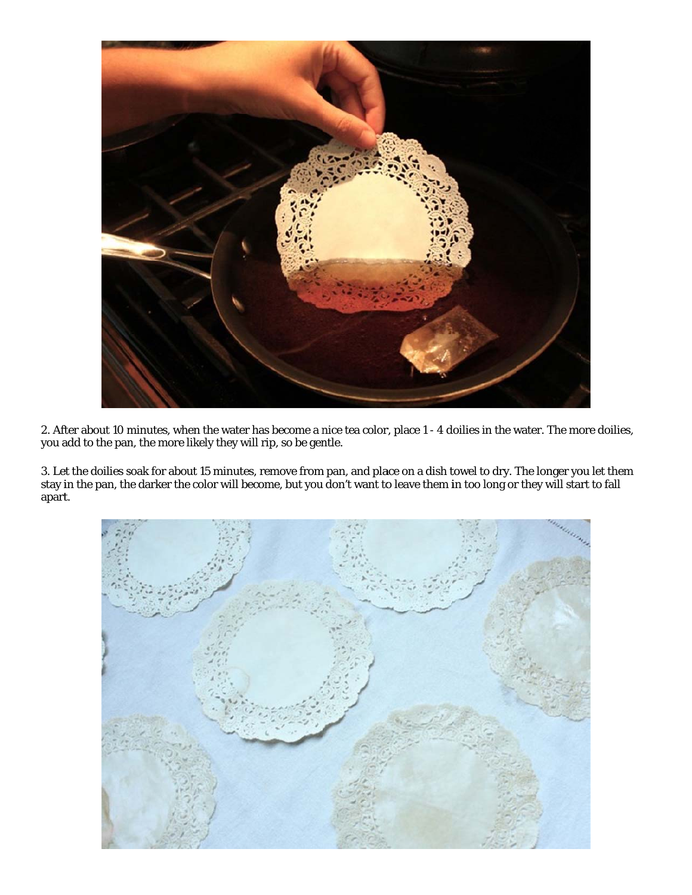

2. After about 10 minutes, when the water has become a nice tea color, place 1 - 4 doilies in the water. The more doilies, you add to the pan, the more likely they will rip, so be gentle.

3. Le stay i apart. et the doilies s in the pan, th soak for about he darker the c t 15 minutes, color will beco remove from ome, but you m pan, and pla don't want to ace on a dish t o leave them i towel to dry. T in too long or The longer yo r they will star ou let them rt to fall

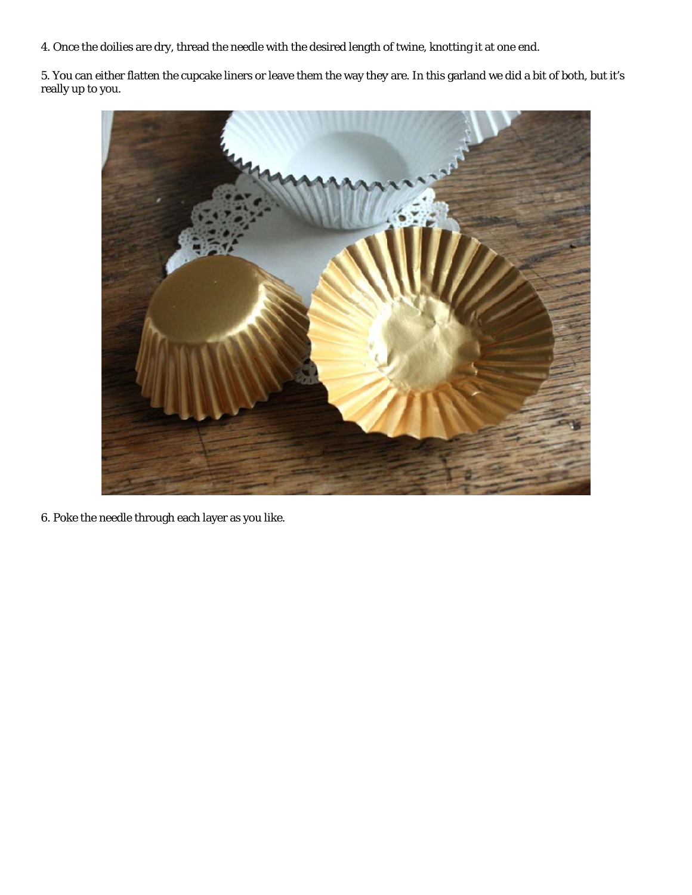4. Once the doilies are dry, thread the needle with the desired length of twine, knotting it at one end.

5. You can either flatten the cupcake liners or leave them the way they are. In this garland we did a bit of both, but it's really y up to you.



6. Poke the needle through each layer as you like.